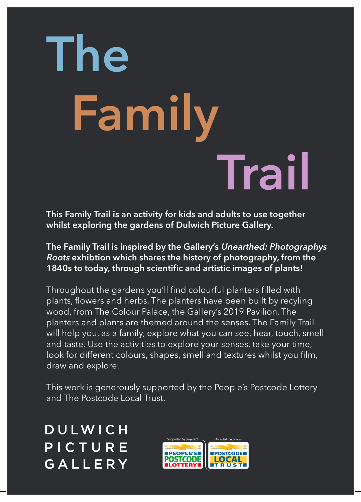This Family Trail is an activity for kids and adults to use together whilst exploring the gardens of Dulwich Picture Gallery.

The Family Trail is inspired by the Gallery's Unearthed: Photographys Roots exhibtion which shares the history of photography, from the 1840s to today, through scientific and artistic images of plants!

Throughout the gardens you'll find colourful planters filled with plants, flowers and herbs. The planters have been built by recyling wood, from The Colour Palace, the Gallery's 2019 Pavilion. The planters and plants are themed around the senses. The Family Trail will help you, as a family, explore what you can see, hear, touch, smell and taste. Use the activities to explore your senses, take your time, look for different colours, shapes, smell and textures whilst you film, draw and explore.

This work is generously supported by the People's Postcode Lottery and The Postcode Local Trust.

DULWICH PICTURE GALLERY



## The Family Trail